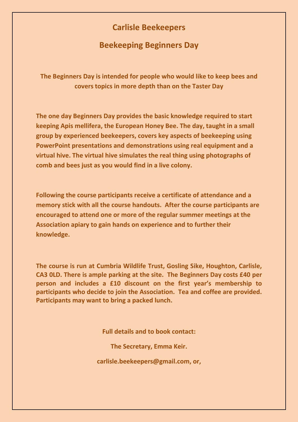## **Carlisle Beekeepers**

## **Beekeeping Beginners Day**

**The Beginners Day is intended for people who would like to keep bees and covers topics in more depth than on the Taster Day**

**The one day Beginners Day provides the basic knowledge required to start keeping Apis mellifera, the European Honey Bee. The day, taught in a small group by experienced beekeepers, covers key aspects of beekeeping using PowerPoint presentations and demonstrations using real equipment and a virtual hive. The virtual hive simulates the real thing using photographs of comb and bees just as you would find in a live colony.** 

**Following the course participants receive a certificate of attendance and a memory stick with all the course handouts. After the course participants are encouraged to attend one or more of the regular summer meetings at the Association apiary to gain hands on experience and to further their knowledge.** 

**The course is run at Cumbria Wildlife Trust, Gosling Sike, Houghton, Carlisle, CA3 0LD. There is ample parking at the site. The Beginners Day costs £40 per person and includes a £10 discount on the first year's membership to participants who decide to join the Association. Tea and coffee are provided. Participants may want to bring a packed lunch.**

**Full details and to book contact:**

**The Secretary, Emma Keir.** 

**carlisle.beekeepers@gmail.com, or,**